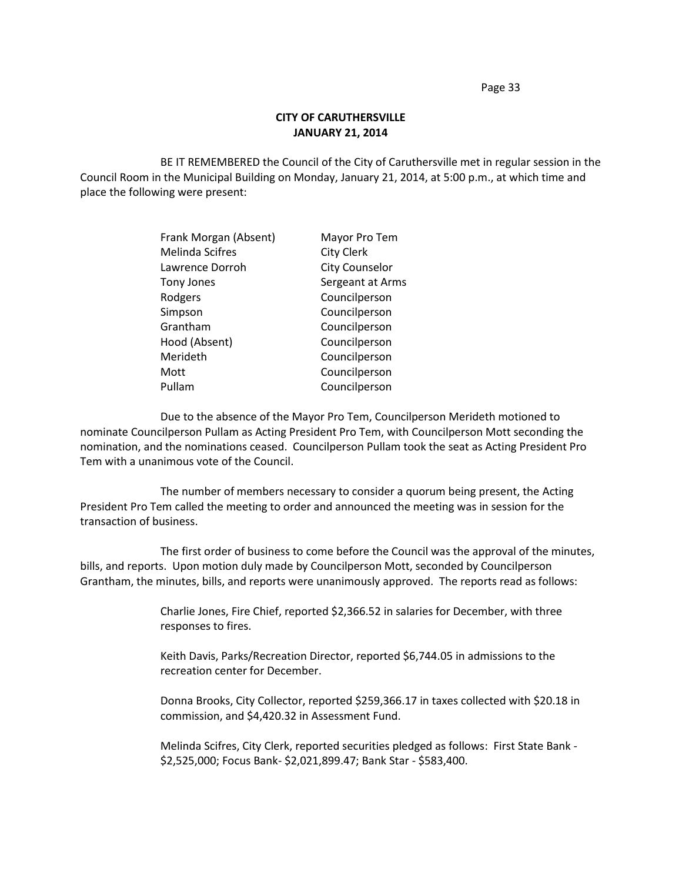Page 33

## **CITY OF CARUTHERSVILLE JANUARY 21, 2014**

BE IT REMEMBERED the Council of the City of Caruthersville met in regular session in the Council Room in the Municipal Building on Monday, January 21, 2014, at 5:00 p.m., at which time and place the following were present:

| Frank Morgan (Absent)  | Mayor Pro Tem         |
|------------------------|-----------------------|
| <b>Melinda Scifres</b> | <b>City Clerk</b>     |
| Lawrence Dorroh        | <b>City Counselor</b> |
| Tony Jones             | Sergeant at Arms      |
| Rodgers                | Councilperson         |
| Simpson                | Councilperson         |
| Grantham               | Councilperson         |
| Hood (Absent)          | Councilperson         |
| Merideth               | Councilperson         |
| Mott                   | Councilperson         |
| Pullam                 | Councilperson         |

Due to the absence of the Mayor Pro Tem, Councilperson Merideth motioned to nominate Councilperson Pullam as Acting President Pro Tem, with Councilperson Mott seconding the nomination, and the nominations ceased. Councilperson Pullam took the seat as Acting President Pro Tem with a unanimous vote of the Council.

The number of members necessary to consider a quorum being present, the Acting President Pro Tem called the meeting to order and announced the meeting was in session for the transaction of business.

The first order of business to come before the Council was the approval of the minutes, bills, and reports. Upon motion duly made by Councilperson Mott, seconded by Councilperson Grantham, the minutes, bills, and reports were unanimously approved. The reports read as follows:

> Charlie Jones, Fire Chief, reported \$2,366.52 in salaries for December, with three responses to fires.

Keith Davis, Parks/Recreation Director, reported \$6,744.05 in admissions to the recreation center for December.

Donna Brooks, City Collector, reported \$259,366.17 in taxes collected with \$20.18 in commission, and \$4,420.32 in Assessment Fund.

Melinda Scifres, City Clerk, reported securities pledged as follows: First State Bank - \$2,525,000; Focus Bank- \$2,021,899.47; Bank Star - \$583,400.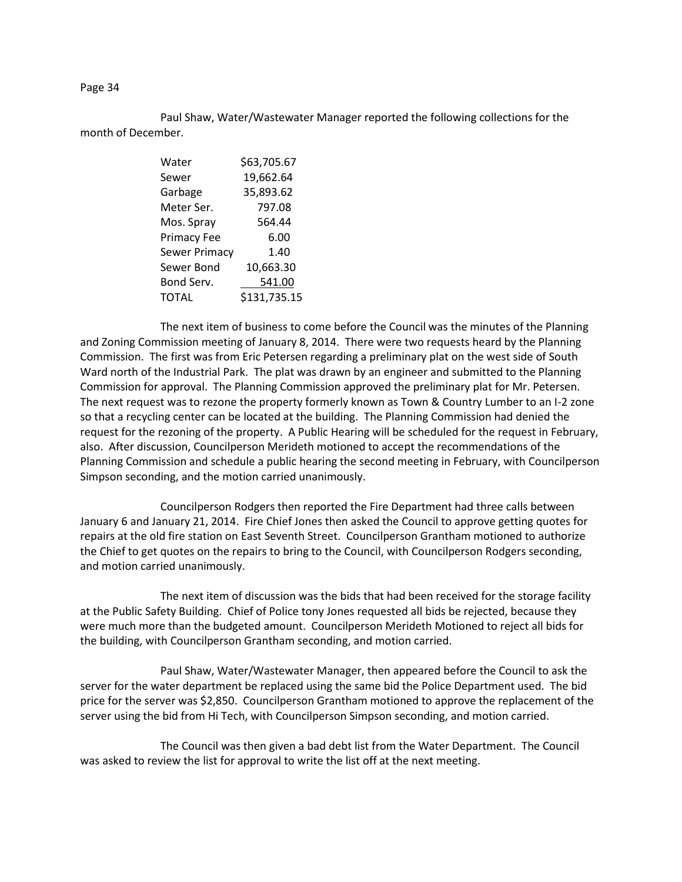Paul Shaw, Water/Wastewater Manager reported the following collections for the month of December.

| Water              | \$63,705.67  |  |  |
|--------------------|--------------|--|--|
| Sewer              | 19,662.64    |  |  |
| Garbage            | 35,893.62    |  |  |
| Meter Ser.         | 797.08       |  |  |
| Mos. Spray         | 564.44       |  |  |
| <b>Primacy Fee</b> | 6.00         |  |  |
| Sewer Primacy      | 1.40         |  |  |
| Sewer Bond         | 10,663.30    |  |  |
| Bond Serv.         | 541.00       |  |  |
| TOTAL              | \$131,735.15 |  |  |
|                    |              |  |  |

The next item of business to come before the Council was the minutes of the Planning and Zoning Commission meeting of January 8, 2014. There were two requests heard by the Planning Commission. The first was from Eric Petersen regarding a preliminary plat on the west side of South Ward north of the Industrial Park. The plat was drawn by an engineer and submitted to the Planning Commission for approval. The Planning Commission approved the preliminary plat for Mr. Petersen. The next request was to rezone the property formerly known as Town & Country Lumber to an I-2 zone so that a recycling center can be located at the building. The Planning Commission had denied the request for the rezoning of the property. A Public Hearing will be scheduled for the request in February, also. After discussion, Councilperson Merideth motioned to accept the recommendations of the Planning Commission and schedule a public hearing the second meeting in February, with Councilperson Simpson seconding, and the motion carried unanimously.

Councilperson Rodgers then reported the Fire Department had three calls between January 6 and January 21, 2014. Fire Chief Jones then asked the Council to approve getting quotes for repairs at the old fire station on East Seventh Street. Councilperson Grantham motioned to authorize the Chief to get quotes on the repairs to bring to the Council, with Councilperson Rodgers seconding, and motion carried unanimously.

The next item of discussion was the bids that had been received for the storage facility at the Public Safety Building. Chief of Police tony Jones requested all bids be rejected, because they were much more than the budgeted amount. Councilperson Merideth Motioned to reject all bids for the building, with Councilperson Grantham seconding, and motion carried.

Paul Shaw, Water/Wastewater Manager, then appeared before the Council to ask the server for the water department be replaced using the same bid the Police Department used. The bid price for the server was \$2,850. Councilperson Grantham motioned to approve the replacement of the server using the bid from Hi Tech, with Councilperson Simpson seconding, and motion carried.

The Council was then given a bad debt list from the Water Department. The Council was asked to review the list for approval to write the list off at the next meeting.

## Page 34